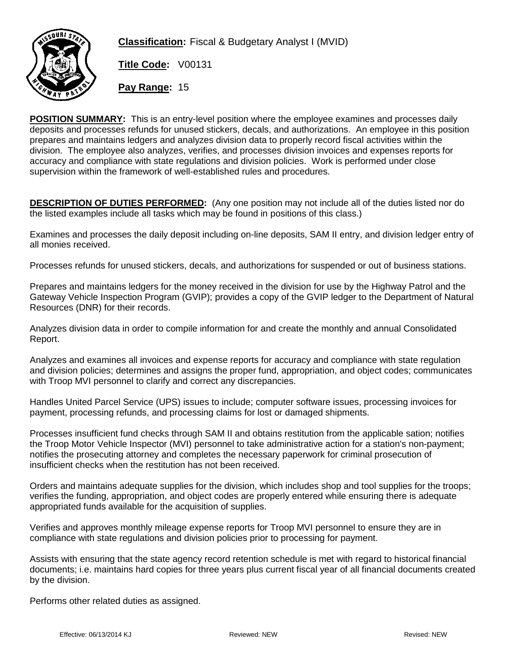

**Classification:** Fiscal & Budgetary Analyst I (MVID)

**Title Code:** V00131

**Pay Range:** 15

**POSITION SUMMARY:** This is an entry-level position where the employee examines and processes daily deposits and processes refunds for unused stickers, decals, and authorizations. An employee in this position prepares and maintains ledgers and analyzes division data to properly record fiscal activities within the division. The employee also analyzes, verifies, and processes division invoices and expenses reports for accuracy and compliance with state regulations and division policies. Work is performed under close supervision within the framework of well-established rules and procedures.

**DESCRIPTION OF DUTIES PERFORMED:** (Any one position may not include all of the duties listed nor do the listed examples include all tasks which may be found in positions of this class.)

Examines and processes the daily deposit including on-line deposits, SAM II entry, and division ledger entry of all monies received.

Processes refunds for unused stickers, decals, and authorizations for suspended or out of business stations.

Prepares and maintains ledgers for the money received in the division for use by the Highway Patrol and the Gateway Vehicle Inspection Program (GVIP); provides a copy of the GVIP ledger to the Department of Natural Resources (DNR) for their records.

Analyzes division data in order to compile information for and create the monthly and annual Consolidated Report.

Analyzes and examines all invoices and expense reports for accuracy and compliance with state regulation and division policies; determines and assigns the proper fund, appropriation, and object codes; communicates with Troop MVI personnel to clarify and correct any discrepancies.

Handles United Parcel Service (UPS) issues to include; computer software issues, processing invoices for payment, processing refunds, and processing claims for lost or damaged shipments.

Processes insufficient fund checks through SAM II and obtains restitution from the applicable sation; notifies the Troop Motor Vehicle Inspector (MVI) personnel to take administrative action for a station's non-payment; notifies the prosecuting attorney and completes the necessary paperwork for criminal prosecution of insufficient checks when the restitution has not been received.

Orders and maintains adequate supplies for the division, which includes shop and tool supplies for the troops; verifies the funding, appropriation, and object codes are properly entered while ensuring there is adequate appropriated funds available for the acquisition of supplies.

Verifies and approves monthly mileage expense reports for Troop MVI personnel to ensure they are in compliance with state regulations and division policies prior to processing for payment.

Assists with ensuring that the state agency record retention schedule is met with regard to historical financial documents; i.e. maintains hard copies for three years plus current fiscal year of all financial documents created by the division.

Performs other related duties as assigned.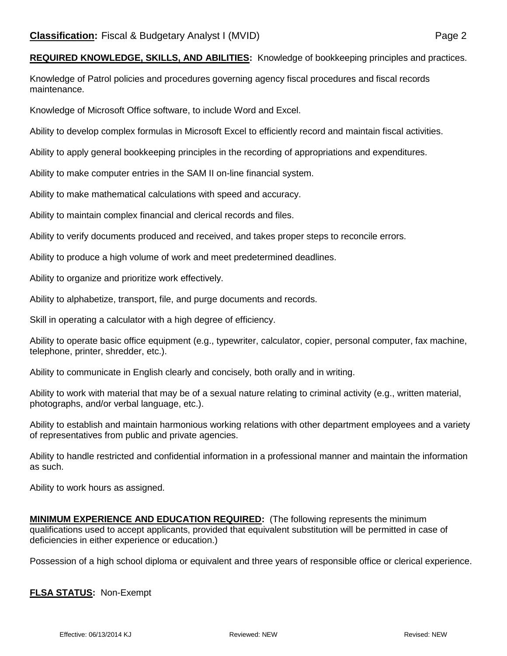Knowledge of Patrol policies and procedures governing agency fiscal procedures and fiscal records maintenance.

Knowledge of Microsoft Office software, to include Word and Excel.

Ability to develop complex formulas in Microsoft Excel to efficiently record and maintain fiscal activities.

Ability to apply general bookkeeping principles in the recording of appropriations and expenditures.

Ability to make computer entries in the SAM II on-line financial system.

Ability to make mathematical calculations with speed and accuracy.

Ability to maintain complex financial and clerical records and files.

Ability to verify documents produced and received, and takes proper steps to reconcile errors.

Ability to produce a high volume of work and meet predetermined deadlines.

Ability to organize and prioritize work effectively.

Ability to alphabetize, transport, file, and purge documents and records.

Skill in operating a calculator with a high degree of efficiency.

Ability to operate basic office equipment (e.g., typewriter, calculator, copier, personal computer, fax machine, telephone, printer, shredder, etc.).

Ability to communicate in English clearly and concisely, both orally and in writing.

Ability to work with material that may be of a sexual nature relating to criminal activity (e.g., written material, photographs, and/or verbal language, etc.).

Ability to establish and maintain harmonious working relations with other department employees and a variety of representatives from public and private agencies.

Ability to handle restricted and confidential information in a professional manner and maintain the information as such.

Ability to work hours as assigned.

**MINIMUM EXPERIENCE AND EDUCATION REQUIRED:** (The following represents the minimum qualifications used to accept applicants, provided that equivalent substitution will be permitted in case of deficiencies in either experience or education.)

Possession of a high school diploma or equivalent and three years of responsible office or clerical experience.

## **FLSA STATUS:** Non-Exempt